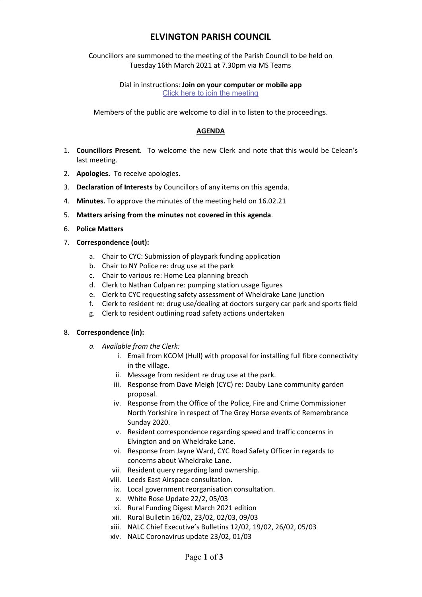# **ELVINGTON PARISH COUNCIL**

Councillors are summoned to the meeting of the Parish Council to be held on Tuesday 16th March 2021 at 7.30pm via MS Teams

> Dial in instructions: **Join on your computer or mobile app** [Click here to join the meeting](https://teams.microsoft.com/l/meetup-join/19%3ameeting_YzQ5OTVkNDctMGM0MS00ODg0LTg2ZWMtMzZmNDc5M2YyNDk2%40thread.v2/0?context=%7b%22Tid%22%3a%22d6328968-e95b-4765-9fd0-119fb04a8ddf%22%2c%22Oid%22%3a%221c1fa5b4-8190-4819-ba38-d534ddbb0290%22%7d)

Members of the public are welcome to dial in to listen to the proceedings.

# **AGENDA**

- 1. **Councillors Present**. To welcome the new Clerk and note that this would be Celean's last meeting.
- 2. **Apologies.** To receive apologies.
- 3. **Declaration of Interests** by Councillors of any items on this agenda.
- 4. **Minutes.** To approve the minutes of the meeting held on 16.02.21
- 5. **Matters arising from the minutes not covered in this agenda**.
- 6. **Police Matters**
- 7. **Correspondence (out):**
	- a. Chair to CYC: Submission of playpark funding application
	- b. Chair to NY Police re: drug use at the park
	- c. Chair to various re: Home Lea planning breach
	- d. Clerk to Nathan Culpan re: pumping station usage figures
	- e. Clerk to CYC requesting safety assessment of Wheldrake Lane junction
	- f. Clerk to resident re: drug use/dealing at doctors surgery car park and sports field
	- g. Clerk to resident outlining road safety actions undertaken

#### 8. **Correspondence (in):**

- *a. Available from the Clerk:*
	- i. Email from KCOM (Hull) with proposal for installing full fibre connectivity in the village.
	- ii. Message from resident re drug use at the park.
	- iii. Response from Dave Meigh (CYC) re: Dauby Lane community garden proposal.
	- iv. Response from the Office of the Police, Fire and Crime Commissioner North Yorkshire in respect of The Grey Horse events of Remembrance Sunday 2020.
	- v. Resident correspondence regarding speed and traffic concerns in Elvington and on Wheldrake Lane.
	- vi. Response from Jayne Ward, CYC Road Safety Officer in regards to concerns about Wheldrake Lane.
	- vii. Resident query regarding land ownership.
	- viii. Leeds East Airspace consultation.
	- ix. Local government reorganisation consultation.
	- x. White Rose Update 22/2, 05/03
	- xi. Rural Funding Digest March 2021 edition
	- xii. Rural Bulletin 16/02, 23/02, 02/03, 09/03
	- xiii. NALC Chief Executive's Bulletins 12/02, 19/02, 26/02, 05/03
	- xiv. NALC Coronavirus update 23/02, 01/03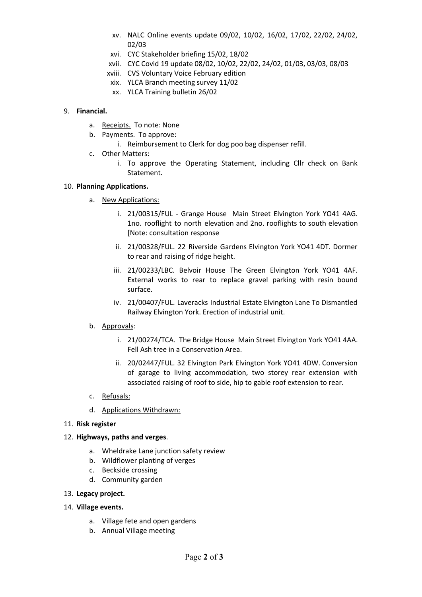- xv. NALC Online events update 09/02, 10/02, 16/02, 17/02, 22/02, 24/02, 02/03
- xvi. CYC Stakeholder briefing 15/02, 18/02
- xvii. CYC Covid 19 update 08/02, 10/02, 22/02, 24/02, 01/03, 03/03, 08/03
- xviii. CVS Voluntary Voice February edition
- xix. YLCA Branch meeting survey 11/02
- xx. YLCA Training bulletin 26/02

# 9. **Financial.**

- a. Receipts. To note: None
- b. Payments. To approve:
	- i. Reimbursement to Clerk for dog poo bag dispenser refill.
- c. Other Matters:
	- i. To approve the Operating Statement, including Cllr check on Bank Statement.

# 10. **Planning Applications.**

- a. New Applications:
	- i. 21/00315/FUL Grange House Main Street Elvington York YO41 4AG. 1no. rooflight to north elevation and 2no. rooflights to south elevation [Note: consultation response
	- ii. 21/00328/FUL. 22 Riverside Gardens Elvington York YO41 4DT. Dormer to rear and raising of ridge height.
	- iii. 21/00233/LBC. Belvoir House The Green Elvington York YO41 4AF. External works to rear to replace gravel parking with resin bound surface.
	- iv. 21/00407/FUL. Laveracks Industrial Estate Elvington Lane To Dismantled Railway Elvington York. Erection of industrial unit.

# b. Approvals:

- i. 21/00274/TCA. The Bridge House Main Street Elvington York YO41 4AA. Fell Ash tree in a Conservation Area.
- ii. 20/02447/FUL. 32 Elvington Park Elvington York YO41 4DW. Conversion of garage to living accommodation, two storey rear extension with associated raising of roof to side, hip to gable roof extension to rear.
- c. Refusals:
- d. Applications Withdrawn:

#### 11. **Risk register**

# 12. **Highways, paths and verges**.

- a. Wheldrake Lane junction safety review
- b. Wildflower planting of verges
- c. Beckside crossing
- d. Community garden

# 13. **Legacy project.**

- 14. **Village events.**
	- a. Village fete and open gardens
	- b. Annual Village meeting